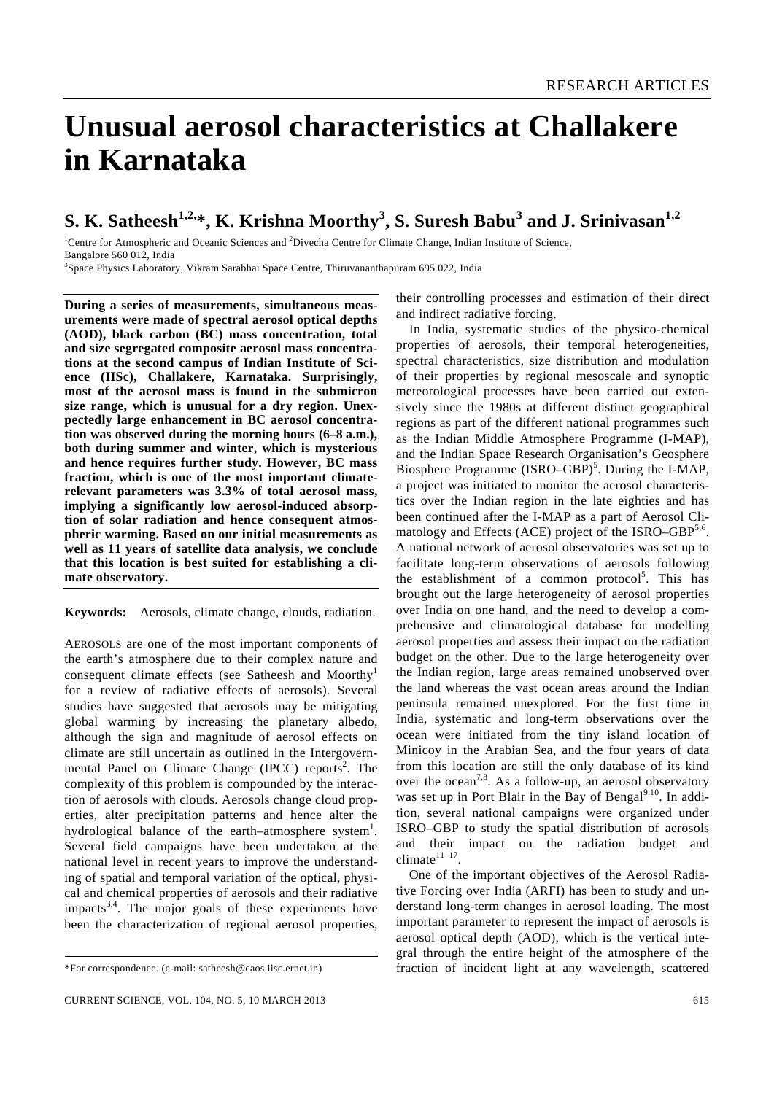# **Unusual aerosol characteristics at Challakere in Karnataka**

# **S. K. Satheesh1,2,\*, K. Krishna Moorthy3 , S. Suresh Babu<sup>3</sup> and J. Srinivasan1,2**

<sup>1</sup>Centre for Atmospheric and Oceanic Sciences and <sup>2</sup>Divecha Centre for Climate Change, Indian Institute of Science, Bangalore 560 012, India

3 Space Physics Laboratory, Vikram Sarabhai Space Centre, Thiruvananthapuram 695 022, India

**During a series of measurements, simultaneous measurements were made of spectral aerosol optical depths (AOD), black carbon (BC) mass concentration, total and size segregated composite aerosol mass concentrations at the second campus of Indian Institute of Science (IISc), Challakere, Karnataka. Surprisingly, most of the aerosol mass is found in the submicron size range, which is unusual for a dry region. Unexpectedly large enhancement in BC aerosol concentration was observed during the morning hours (6–8 a.m.), both during summer and winter, which is mysterious and hence requires further study. However, BC mass fraction, which is one of the most important climaterelevant parameters was 3.3% of total aerosol mass, implying a significantly low aerosol-induced absorption of solar radiation and hence consequent atmospheric warming. Based on our initial measurements as well as 11 years of satellite data analysis, we conclude that this location is best suited for establishing a climate observatory.** 

**Keywords:** Aerosols, climate change, clouds, radiation.

AEROSOLS are one of the most important components of the earth's atmosphere due to their complex nature and consequent climate effects (see Satheesh and Moorthy<sup>1</sup> for a review of radiative effects of aerosols). Several studies have suggested that aerosols may be mitigating global warming by increasing the planetary albedo, although the sign and magnitude of aerosol effects on climate are still uncertain as outlined in the Intergovernmental Panel on Climate Change (IPCC) reports<sup>2</sup>. The complexity of this problem is compounded by the interaction of aerosols with clouds. Aerosols change cloud properties, alter precipitation patterns and hence alter the hydrological balance of the earth–atmosphere system<sup>1</sup>. Several field campaigns have been undertaken at the national level in recent years to improve the understanding of spatial and temporal variation of the optical, physical and chemical properties of aerosols and their radiative  $impacks<sup>3,4</sup>$ . The major goals of these experiments have been the characterization of regional aerosol properties,

their controlling processes and estimation of their direct and indirect radiative forcing.

 In India, systematic studies of the physico-chemical properties of aerosols, their temporal heterogeneities, spectral characteristics, size distribution and modulation of their properties by regional mesoscale and synoptic meteorological processes have been carried out extensively since the 1980s at different distinct geographical regions as part of the different national programmes such as the Indian Middle Atmosphere Programme (I-MAP), and the Indian Space Research Organisation's Geosphere Biosphere Programme (ISRO–GBP)<sup>5</sup>. During the I-MAP, a project was initiated to monitor the aerosol characteristics over the Indian region in the late eighties and has been continued after the I-MAP as a part of Aerosol Climatology and Effects (ACE) project of the ISRO–GBP $5,6$ . A national network of aerosol observatories was set up to facilitate long-term observations of aerosols following the establishment of a common protocol<sup>5</sup>. This has brought out the large heterogeneity of aerosol properties over India on one hand, and the need to develop a comprehensive and climatological database for modelling aerosol properties and assess their impact on the radiation budget on the other. Due to the large heterogeneity over the Indian region, large areas remained unobserved over the land whereas the vast ocean areas around the Indian peninsula remained unexplored. For the first time in India, systematic and long-term observations over the ocean were initiated from the tiny island location of Minicoy in the Arabian Sea, and the four years of data from this location are still the only database of its kind over the ocean<sup>7,8</sup>. As a follow-up, an aerosol observatory was set up in Port Blair in the Bay of Bengal<sup>9,10</sup>. In addition, several national campaigns were organized under ISRO–GBP to study the spatial distribution of aerosols and their impact on the radiation budget and climate $11-17$ .

 One of the important objectives of the Aerosol Radiative Forcing over India (ARFI) has been to study and understand long-term changes in aerosol loading. The most important parameter to represent the impact of aerosols is aerosol optical depth (AOD), which is the vertical integral through the entire height of the atmosphere of the fraction of incident light at any wavelength, scattered

<sup>\*</sup>For correspondence. (e-mail: satheesh@caos.iisc.ernet.in)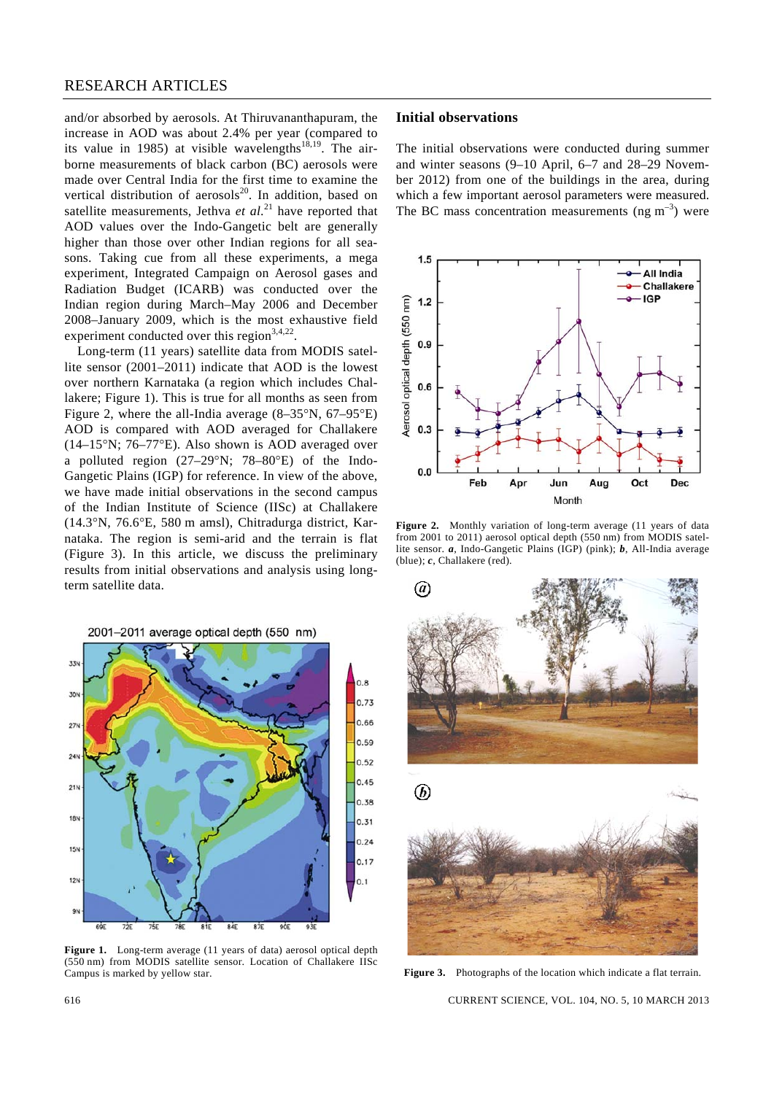and/or absorbed by aerosols. At Thiruvananthapuram, the increase in AOD was about 2.4% per year (compared to its value in 1985) at visible wavelengths<sup>18,19</sup>. The airborne measurements of black carbon (BC) aerosols were made over Central India for the first time to examine the vertical distribution of aerosols<sup>20</sup>. In addition, based on satellite measurements, Jethva *et al*. 21 have reported that AOD values over the Indo-Gangetic belt are generally higher than those over other Indian regions for all seasons. Taking cue from all these experiments, a mega experiment, Integrated Campaign on Aerosol gases and Radiation Budget (ICARB) was conducted over the Indian region during March–May 2006 and December 2008–January 2009, which is the most exhaustive field experiment conducted over this region<sup>3,4,22</sup>.

 Long-term (11 years) satellite data from MODIS satellite sensor (2001–2011) indicate that AOD is the lowest over northern Karnataka (a region which includes Challakere; Figure 1). This is true for all months as seen from Figure 2, where the all-India average (8–35°N, 67–95°E) AOD is compared with AOD averaged for Challakere (14–15°N; 76–77°E). Also shown is AOD averaged over a polluted region (27–29°N; 78–80°E) of the Indo-Gangetic Plains (IGP) for reference. In view of the above, we have made initial observations in the second campus of the Indian Institute of Science (IISc) at Challakere (14.3°N, 76.6°E, 580 m amsl), Chitradurga district, Karnataka. The region is semi-arid and the terrain is flat (Figure 3). In this article, we discuss the preliminary results from initial observations and analysis using longterm satellite data.

2001-2011 average optical depth (550 nm)



**Figure 1.** Long-term average (11 years of data) aerosol optical depth (550 nm) from MODIS satellite sensor. Location of Challakere IISc Campus is marked by yellow star.

#### **Initial observations**

The initial observations were conducted during summer and winter seasons (9–10 April, 6–7 and 28–29 November 2012) from one of the buildings in the area, during which a few important aerosol parameters were measured. The BC mass concentration measurements (ng  $m^{-3}$ ) were



**Figure 2.** Monthly variation of long-term average (11 years of data from 2001 to 2011) aerosol optical depth (550 nm) from MODIS satellite sensor. *a*, Indo-Gangetic Plains (IGP) (pink); *b*, All-India average (blue); *c*, Challakere (red).



**Figure 3.** Photographs of the location which indicate a flat terrain.

616 CURRENT SCIENCE, VOL. 104, NO. 5, 10 MARCH 2013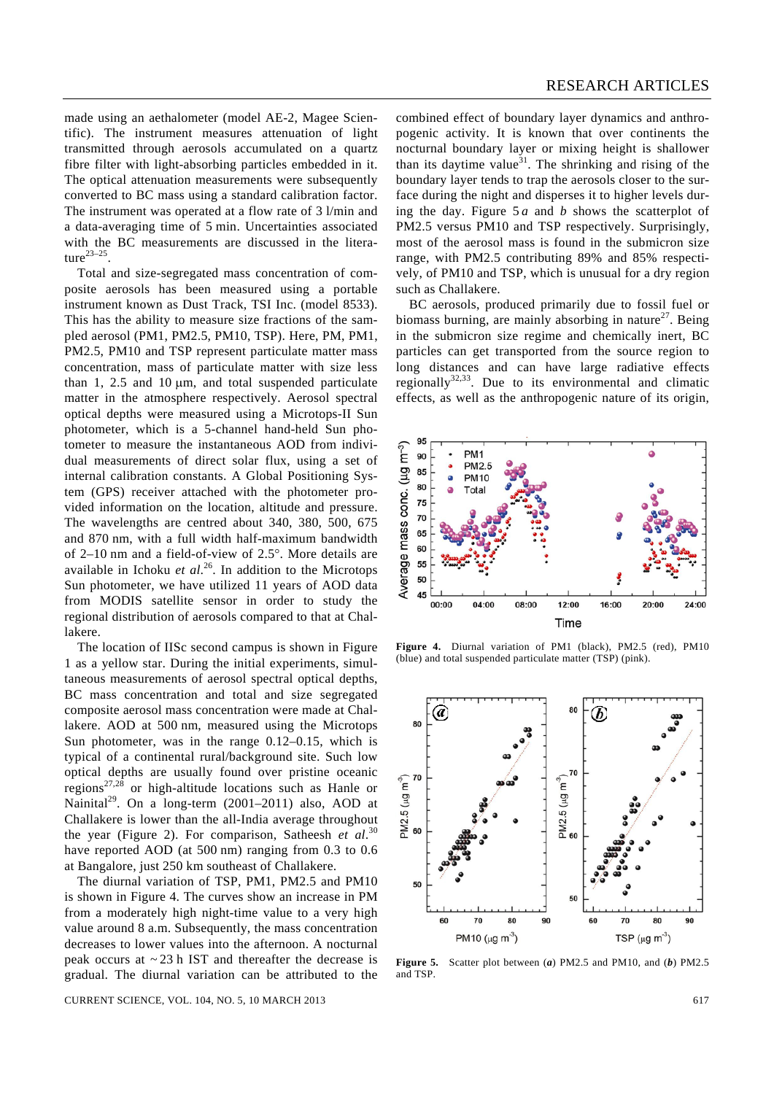made using an aethalometer (model AE-2, Magee Scientific). The instrument measures attenuation of light transmitted through aerosols accumulated on a quartz fibre filter with light-absorbing particles embedded in it. The optical attenuation measurements were subsequently converted to BC mass using a standard calibration factor. The instrument was operated at a flow rate of 3 l/min and a data-averaging time of 5 min. Uncertainties associated with the BC measurements are discussed in the literature $23-25$ .

 Total and size-segregated mass concentration of composite aerosols has been measured using a portable instrument known as Dust Track, TSI Inc. (model 8533). This has the ability to measure size fractions of the sampled aerosol (PM1, PM2.5, PM10, TSP). Here, PM, PM1, PM2.5, PM10 and TSP represent particulate matter mass concentration, mass of particulate matter with size less than 1, 2.5 and 10 μm, and total suspended particulate matter in the atmosphere respectively. Aerosol spectral optical depths were measured using a Microtops-II Sun photometer, which is a 5-channel hand-held Sun photometer to measure the instantaneous AOD from individual measurements of direct solar flux, using a set of internal calibration constants. A Global Positioning System (GPS) receiver attached with the photometer provided information on the location, altitude and pressure. The wavelengths are centred about 340, 380, 500, 675 and 870 nm, with a full width half-maximum bandwidth of 2–10 nm and a field-of-view of 2.5°. More details are available in Ichoku *et al*. 26. In addition to the Microtops Sun photometer, we have utilized 11 years of AOD data from MODIS satellite sensor in order to study the regional distribution of aerosols compared to that at Challakere.

 The location of IISc second campus is shown in Figure 1 as a yellow star. During the initial experiments, simultaneous measurements of aerosol spectral optical depths, BC mass concentration and total and size segregated composite aerosol mass concentration were made at Challakere. AOD at 500 nm, measured using the Microtops Sun photometer, was in the range 0.12–0.15, which is typical of a continental rural/background site. Such low optical depths are usually found over pristine oceanic  $r_{\rm regions}^{27,28}$  or high-altitude locations such as Hanle or Nainital<sup>29</sup>. On a long-term (2001–2011) also, AOD at Challakere is lower than the all-India average throughout the year (Figure 2). For comparison, Satheesh *et al*. 30 have reported AOD (at 500 nm) ranging from 0.3 to 0.6 at Bangalore, just 250 km southeast of Challakere.

 The diurnal variation of TSP, PM1, PM2.5 and PM10 is shown in Figure 4. The curves show an increase in PM from a moderately high night-time value to a very high value around 8 a.m. Subsequently, the mass concentration decreases to lower values into the afternoon. A nocturnal peak occurs at  $\sim$  23 h IST and thereafter the decrease is gradual. The diurnal variation can be attributed to the

CURRENT SCIENCE, VOL. 104, NO. 5, 10 MARCH 2013 617

combined effect of boundary layer dynamics and anthropogenic activity. It is known that over continents the nocturnal boundary layer or mixing height is shallower than its daytime value<sup>31</sup>. The shrinking and rising of the boundary layer tends to trap the aerosols closer to the surface during the night and disperses it to higher levels during the day. Figure 5 *a* and *b* shows the scatterplot of PM2.5 versus PM10 and TSP respectively. Surprisingly, most of the aerosol mass is found in the submicron size range, with PM2.5 contributing 89% and 85% respectively, of PM10 and TSP, which is unusual for a dry region such as Challakere.

 BC aerosols, produced primarily due to fossil fuel or biomass burning, are mainly absorbing in nature<sup>27</sup>. Being in the submicron size regime and chemically inert, BC particles can get transported from the source region to long distances and can have large radiative effects regionally<sup>32,33</sup>. Due to its environmental and climatic effects, as well as the anthropogenic nature of its origin,



**Figure 4.** Diurnal variation of PM1 (black), PM2.5 (red), PM10 (blue) and total suspended particulate matter (TSP) (pink).



**Figure 5.** Scatter plot between (*a*) PM2.5 and PM10, and (*b*) PM2.5 and TSP.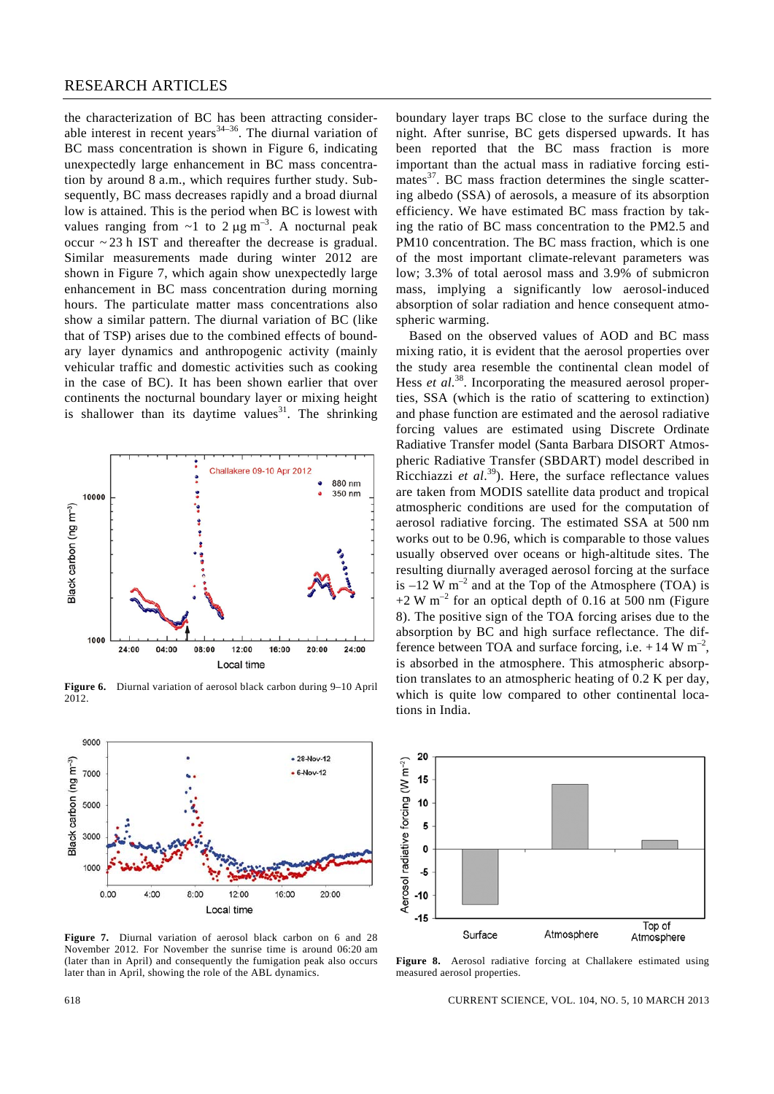the characterization of BC has been attracting considerable interest in recent years $34-36$ . The diurnal variation of BC mass concentration is shown in Figure 6, indicating unexpectedly large enhancement in BC mass concentration by around 8 a.m., which requires further study. Subsequently, BC mass decreases rapidly and a broad diurnal low is attained. This is the period when BC is lowest with values ranging from  $\sim$ 1 to 2  $\mu$ g m<sup>-3</sup>. A nocturnal peak occur ~ 23 h IST and thereafter the decrease is gradual. Similar measurements made during winter 2012 are shown in Figure 7, which again show unexpectedly large enhancement in BC mass concentration during morning hours. The particulate matter mass concentrations also show a similar pattern. The diurnal variation of BC (like that of TSP) arises due to the combined effects of boundary layer dynamics and anthropogenic activity (mainly vehicular traffic and domestic activities such as cooking in the case of BC). It has been shown earlier that over continents the nocturnal boundary layer or mixing height is shallower than its daytime values<sup>31</sup>. The shrinking



**Figure 6.** Diurnal variation of aerosol black carbon during 9–10 April 2012.



**Figure 7.** Diurnal variation of aerosol black carbon on 6 and 28 November 2012. For November the sunrise time is around 06:20 am (later than in April) and consequently the fumigation peak also occurs later than in April, showing the role of the ABL dynamics.

boundary layer traps BC close to the surface during the night. After sunrise, BC gets dispersed upwards. It has been reported that the BC mass fraction is more important than the actual mass in radiative forcing estimates $^{37}$ . BC mass fraction determines the single scattering albedo (SSA) of aerosols, a measure of its absorption efficiency. We have estimated BC mass fraction by taking the ratio of BC mass concentration to the PM2.5 and PM10 concentration. The BC mass fraction, which is one of the most important climate-relevant parameters was low; 3.3% of total aerosol mass and 3.9% of submicron mass, implying a significantly low aerosol-induced absorption of solar radiation and hence consequent atmospheric warming.

 Based on the observed values of AOD and BC mass mixing ratio, it is evident that the aerosol properties over the study area resemble the continental clean model of Hess *et al.*<sup>38</sup>. Incorporating the measured aerosol properties, SSA (which is the ratio of scattering to extinction) and phase function are estimated and the aerosol radiative forcing values are estimated using Discrete Ordinate Radiative Transfer model (Santa Barbara DISORT Atmospheric Radiative Transfer (SBDART) model described in Ricchiazzi *et al*. 39). Here, the surface reflectance values are taken from MODIS satellite data product and tropical atmospheric conditions are used for the computation of aerosol radiative forcing. The estimated SSA at 500 nm works out to be 0.96, which is comparable to those values usually observed over oceans or high-altitude sites. The resulting diurnally averaged aerosol forcing at the surface is  $-12$  W m<sup>-2</sup> and at the Top of the Atmosphere (TOA) is  $+2$  W m<sup>-2</sup> for an optical depth of 0.16 at 500 nm (Figure 8). The positive sign of the TOA forcing arises due to the absorption by BC and high surface reflectance. The difference between TOA and surface forcing, i.e.  $+14$  W m<sup>-2</sup>, is absorbed in the atmosphere. This atmospheric absorption translates to an atmospheric heating of 0.2 K per day, which is quite low compared to other continental locations in India.



**Figure 8.** Aerosol radiative forcing at Challakere estimated using measured aerosol properties.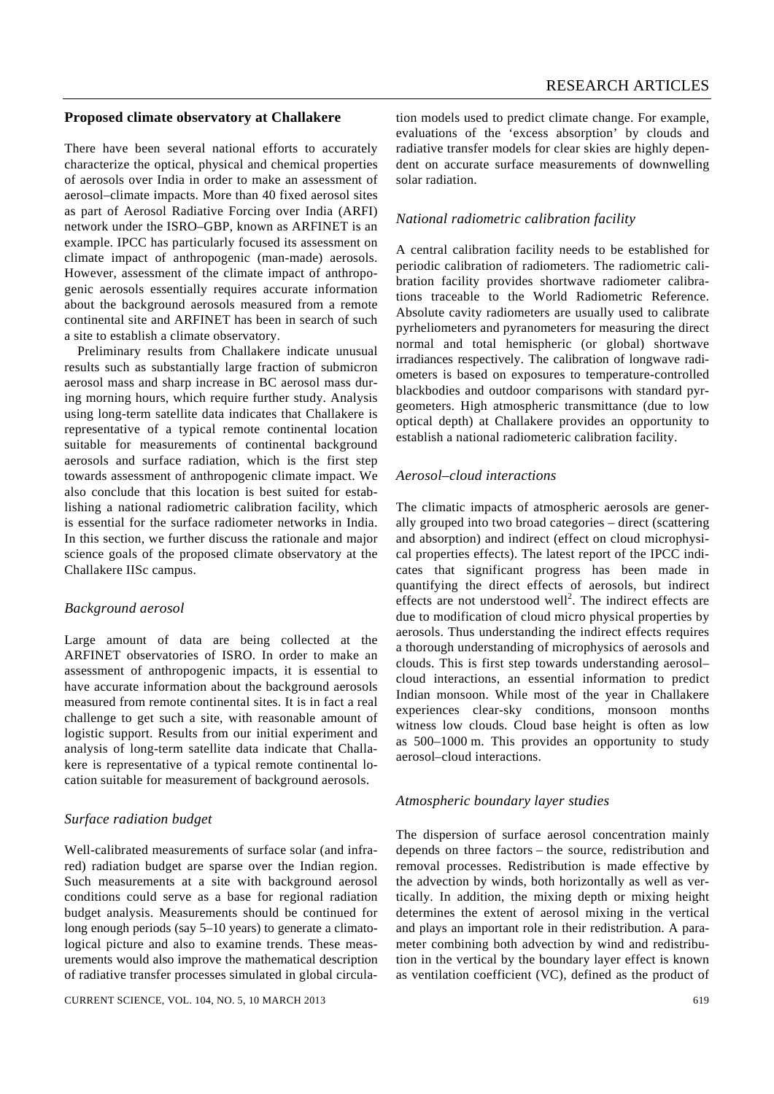# **Proposed climate observatory at Challakere**

There have been several national efforts to accurately characterize the optical, physical and chemical properties of aerosols over India in order to make an assessment of aerosol–climate impacts. More than 40 fixed aerosol sites as part of Aerosol Radiative Forcing over India (ARFI) network under the ISRO–GBP, known as ARFINET is an example. IPCC has particularly focused its assessment on climate impact of anthropogenic (man-made) aerosols. However, assessment of the climate impact of anthropogenic aerosols essentially requires accurate information about the background aerosols measured from a remote continental site and ARFINET has been in search of such a site to establish a climate observatory.

 Preliminary results from Challakere indicate unusual results such as substantially large fraction of submicron aerosol mass and sharp increase in BC aerosol mass during morning hours, which require further study. Analysis using long-term satellite data indicates that Challakere is representative of a typical remote continental location suitable for measurements of continental background aerosols and surface radiation, which is the first step towards assessment of anthropogenic climate impact. We also conclude that this location is best suited for establishing a national radiometric calibration facility, which is essential for the surface radiometer networks in India. In this section, we further discuss the rationale and major science goals of the proposed climate observatory at the Challakere IISc campus.

#### *Background aerosol*

Large amount of data are being collected at the ARFINET observatories of ISRO. In order to make an assessment of anthropogenic impacts, it is essential to have accurate information about the background aerosols measured from remote continental sites. It is in fact a real challenge to get such a site, with reasonable amount of logistic support. Results from our initial experiment and analysis of long-term satellite data indicate that Challakere is representative of a typical remote continental location suitable for measurement of background aerosols.

# *Surface radiation budget*

Well-calibrated measurements of surface solar (and infrared) radiation budget are sparse over the Indian region. Such measurements at a site with background aerosol conditions could serve as a base for regional radiation budget analysis. Measurements should be continued for long enough periods (say 5–10 years) to generate a climatological picture and also to examine trends. These measurements would also improve the mathematical description of radiative transfer processes simulated in global circulation models used to predict climate change. For example, evaluations of the 'excess absorption' by clouds and radiative transfer models for clear skies are highly dependent on accurate surface measurements of downwelling solar radiation.

#### *National radiometric calibration facility*

A central calibration facility needs to be established for periodic calibration of radiometers. The radiometric calibration facility provides shortwave radiometer calibrations traceable to the World Radiometric Reference. Absolute cavity radiometers are usually used to calibrate pyrheliometers and pyranometers for measuring the direct normal and total hemispheric (or global) shortwave irradiances respectively. The calibration of longwave radiometers is based on exposures to temperature-controlled blackbodies and outdoor comparisons with standard pyrgeometers. High atmospheric transmittance (due to low optical depth) at Challakere provides an opportunity to establish a national radiometeric calibration facility.

# *Aerosol–cloud interactions*

The climatic impacts of atmospheric aerosols are generally grouped into two broad categories – direct (scattering and absorption) and indirect (effect on cloud microphysical properties effects). The latest report of the IPCC indicates that significant progress has been made in quantifying the direct effects of aerosols, but indirect effects are not understood well<sup>2</sup>. The indirect effects are due to modification of cloud micro physical properties by aerosols. Thus understanding the indirect effects requires a thorough understanding of microphysics of aerosols and clouds. This is first step towards understanding aerosol– cloud interactions, an essential information to predict Indian monsoon. While most of the year in Challakere experiences clear-sky conditions, monsoon months witness low clouds. Cloud base height is often as low as 500–1000 m. This provides an opportunity to study aerosol–cloud interactions.

#### *Atmospheric boundary layer studies*

The dispersion of surface aerosol concentration mainly depends on three factors – the source, redistribution and removal processes. Redistribution is made effective by the advection by winds, both horizontally as well as vertically. In addition, the mixing depth or mixing height determines the extent of aerosol mixing in the vertical and plays an important role in their redistribution. A parameter combining both advection by wind and redistribution in the vertical by the boundary layer effect is known as ventilation coefficient (VC), defined as the product of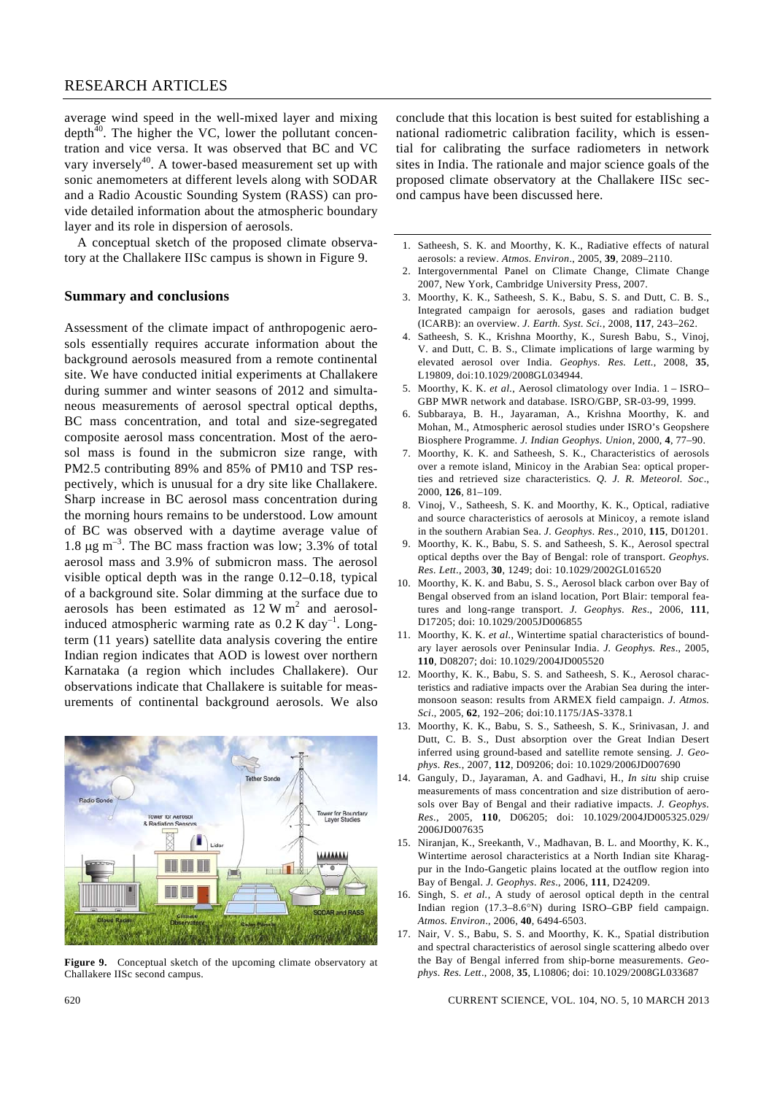# RESEARCH ARTICLES

average wind speed in the well-mixed layer and mixing depth $40$ . The higher the VC, lower the pollutant concentration and vice versa. It was observed that BC and VC vary inversely<sup>40</sup>. A tower-based measurement set up with sonic anemometers at different levels along with SODAR and a Radio Acoustic Sounding System (RASS) can provide detailed information about the atmospheric boundary layer and its role in dispersion of aerosols.

 A conceptual sketch of the proposed climate observatory at the Challakere IISc campus is shown in Figure 9.

#### **Summary and conclusions**

Assessment of the climate impact of anthropogenic aerosols essentially requires accurate information about the background aerosols measured from a remote continental site. We have conducted initial experiments at Challakere during summer and winter seasons of 2012 and simultaneous measurements of aerosol spectral optical depths, BC mass concentration, and total and size-segregated composite aerosol mass concentration. Most of the aerosol mass is found in the submicron size range, with PM2.5 contributing 89% and 85% of PM10 and TSP respectively, which is unusual for a dry site like Challakere. Sharp increase in BC aerosol mass concentration during the morning hours remains to be understood. Low amount of BC was observed with a daytime average value of 1.8  $\mu$ g m<sup>-3</sup>. The BC mass fraction was low; 3.3% of total aerosol mass and 3.9% of submicron mass. The aerosol visible optical depth was in the range 0.12–0.18, typical of a background site. Solar dimming at the surface due to aerosols has been estimated as  $12 \text{ W m}^2$  and aerosolinduced atmospheric warming rate as  $0.2$  K day<sup>-1</sup>. Longterm (11 years) satellite data analysis covering the entire Indian region indicates that AOD is lowest over northern Karnataka (a region which includes Challakere). Our observations indicate that Challakere is suitable for measurements of continental background aerosols. We also



**Figure 9.** Conceptual sketch of the upcoming climate observatory at Challakere IISc second campus.

conclude that this location is best suited for establishing a national radiometric calibration facility, which is essential for calibrating the surface radiometers in network sites in India. The rationale and major science goals of the proposed climate observatory at the Challakere IISc second campus have been discussed here.

- 1. Satheesh, S. K. and Moorthy, K. K., Radiative effects of natural aerosols: a review. *Atmos. Environ*., 2005, **39**, 2089–2110.
- 2. Intergovernmental Panel on Climate Change, Climate Change 2007, New York, Cambridge University Press, 2007.
- 3. Moorthy, K. K., Satheesh, S. K., Babu, S. S. and Dutt, C. B. S., Integrated campaign for aerosols, gases and radiation budget (ICARB): an overview. *J. Earth. Syst. Sci.*, 2008, **117**, 243–262.
- 4. Satheesh, S. K., Krishna Moorthy, K., Suresh Babu, S., Vinoj, V. and Dutt, C. B. S., Climate implications of large warming by elevated aerosol over India. *Geophys. Res. Lett*., 2008, **35**, L19809, doi:10.1029/2008GL034944.
- 5. Moorthy, K. K. *et al.*, Aerosol climatology over India. 1 ISRO– GBP MWR network and database. ISRO/GBP, SR-03-99, 1999.
- 6. Subbaraya, B. H., Jayaraman, A., Krishna Moorthy, K. and Mohan, M., Atmospheric aerosol studies under ISRO's Geopshere Biosphere Programme. *J. Indian Geophys. Union*, 2000, **4**, 77–90.
- 7. Moorthy, K. K. and Satheesh, S. K., Characteristics of aerosols over a remote island, Minicoy in the Arabian Sea: optical properties and retrieved size characteristics*. Q. J. R. Meteorol. Soc*., 2000, **126**, 81–109.
- 8. Vinoj, V., Satheesh, S. K. and Moorthy, K. K., Optical, radiative and source characteristics of aerosols at Minicoy, a remote island in the southern Arabian Sea. *J. Geophys. Res*., 2010, **115**, D01201.
- 9. Moorthy, K. K., Babu, S. S. and Satheesh, S. K., Aerosol spectral optical depths over the Bay of Bengal: role of transport. *Geophys. Res. Lett*., 2003, **30**, 1249; doi: 10.1029/2002GL016520
- 10. Moorthy, K. K. and Babu, S. S., Aerosol black carbon over Bay of Bengal observed from an island location, Port Blair: temporal features and long-range transport. *J. Geophys. Res*., 2006, **111**, D17205; doi: 10.1029/2005JD006855
- 11. Moorthy, K. K. *et al.*, Wintertime spatial characteristics of boundary layer aerosols over Peninsular India. *J. Geophys. Res*., 2005, **110**, D08207; doi: 10.1029/2004JD005520
- 12. Moorthy, K. K., Babu, S. S. and Satheesh, S. K., Aerosol characteristics and radiative impacts over the Arabian Sea during the intermonsoon season: results from ARMEX field campaign. *J. Atmos. Sci*., 2005, **62**, 192–206; doi:10.1175/JAS-3378.1
- 13. Moorthy, K. K., Babu, S. S., Satheesh, S. K., Srinivasan, J. and Dutt, C. B. S., Dust absorption over the Great Indian Desert inferred using ground-based and satellite remote sensing. *J. Geophys. Res.*, 2007, **112**, D09206; doi: 10.1029/2006JD007690
- 14. Ganguly, D., Jayaraman, A. and Gadhavi, H., *In situ* ship cruise measurements of mass concentration and size distribution of aerosols over Bay of Bengal and their radiative impacts. *J. Geophys. Res.*, 2005, **110**, D06205; doi: 10.1029/2004JD005325.029/ 2006JD007635
- 15. Niranjan, K., Sreekanth, V., Madhavan, B. L. and Moorthy, K. K., Wintertime aerosol characteristics at a North Indian site Kharagpur in the Indo-Gangetic plains located at the outflow region into Bay of Bengal. *J. Geophys. Res*., 2006, **111**, D24209.
- 16. Singh, S. *et al.*, A study of aerosol optical depth in the central Indian region (17.3–8.6°N) during ISRO–GBP field campaign. *Atmos. Environ*., 2006, **40**, 6494-6503.
- 17. Nair, V. S., Babu, S. S. and Moorthy, K. K., Spatial distribution and spectral characteristics of aerosol single scattering albedo over the Bay of Bengal inferred from ship-borne measurements. *Geophys. Res. Lett*., 2008, **35**, L10806; doi: 10.1029/2008GL033687

620 CURRENT SCIENCE, VOL. 104, NO. 5, 10 MARCH 2013